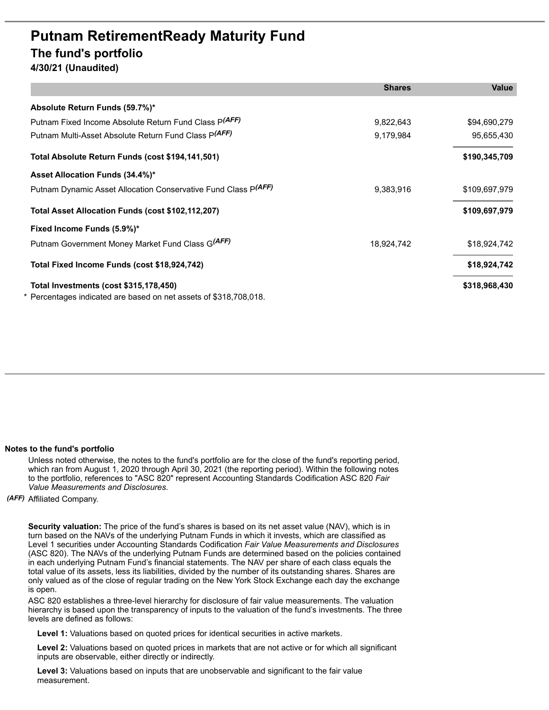## **Putnam RetirementReady Maturity Fund The fund's portfolio**

**4/30/21 (Unaudited)**

|                                                                   | <b>Shares</b> | <b>Value</b>  |
|-------------------------------------------------------------------|---------------|---------------|
| Absolute Return Funds (59.7%)*                                    |               |               |
| Putnam Fixed Income Absolute Return Fund Class P(AFF)             | 9,822,643     | \$94,690,279  |
| Putnam Multi-Asset Absolute Return Fund Class P(AFF)              | 9,179,984     | 95,655,430    |
| Total Absolute Return Funds (cost \$194,141,501)                  |               | \$190,345,709 |
| Asset Allocation Funds (34.4%)*                                   |               |               |
| Putnam Dynamic Asset Allocation Conservative Fund Class P(AFF)    | 9,383,916     | \$109,697,979 |
| Total Asset Allocation Funds (cost \$102,112,207)                 |               | \$109,697,979 |
| Fixed Income Funds (5.9%)*                                        |               |               |
| Putnam Government Money Market Fund Class G(AFF)                  | 18,924,742    | \$18,924,742  |
| Total Fixed Income Funds (cost \$18,924,742)                      |               | \$18,924,742  |
| Total Investments (cost \$315,178,450)                            |               | \$318,968,430 |
| * Percentages indicated are based on net assets of \$318,708,018. |               |               |

## **Notes to the fund's portfolio**

Unless noted otherwise, the notes to the fund's portfolio are for the close of the fund's reporting period, which ran from August 1, 2020 through April 30, 2021 (the reporting period). Within the following notes to the portfolio, references to "ASC 820" represent Accounting Standards Codification ASC 820 *Fair Value Measurements and Disclosures*.

*(AFF)* Affiliated Company.

**Security valuation:** The price of the fund's shares is based on its net asset value (NAV), which is in turn based on the NAVs of the underlying Putnam Funds in which it invests, which are classified as Level 1 securities under Accounting Standards Codification *Fair Value Measurements and Disclosures* (ASC 820). The NAVs of the underlying Putnam Funds are determined based on the policies contained in each underlying Putnam Fund's financial statements. The NAV per share of each class equals the total value of its assets, less its liabilities, divided by the number of its outstanding shares. Shares are only valued as of the close of regular trading on the New York Stock Exchange each day the exchange is open.

ASC 820 establishes a three-level hierarchy for disclosure of fair value measurements. The valuation hierarchy is based upon the transparency of inputs to the valuation of the fund's investments. The three levels are defined as follows:

**Level 1:** Valuations based on quoted prices for identical securities in active markets.

**Level 2:** Valuations based on quoted prices in markets that are not active or for which all significant inputs are observable, either directly or indirectly.

**Level 3:** Valuations based on inputs that are unobservable and significant to the fair value measurement.